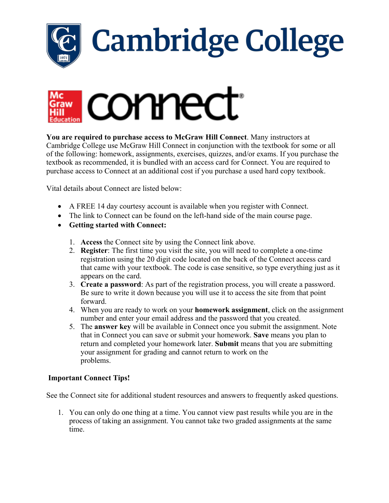

## **Cambridge College**



**You are required to purchase access to McGraw Hill Connect**. Many instructors at Cambridge College use McGraw Hill Connect in conjunction with the textbook for some or all of the following: homework, assignments, exercises, quizzes, and/or exams. If you purchase the textbook as recommended, it is bundled with an access card for Connect. You are required to purchase access to Connect at an additional cost if you purchase a used hard copy textbook.

Vital details about Connect are listed below:

- A FREE 14 day courtesy account is available when you register with Connect.
- The link to Connect can be found on the left-hand side of the main course page.
- **Getting started with Connect:**
	- 1. **Access** the Connect site by using the Connect link above.
	- 2. **Register**: The first time you visit the site, you will need to complete a one-time registration using the 20 digit code located on the back of the Connect access card that came with your textbook. The code is case sensitive, so type everything just as it appears on the card.
	- 3. **Create a password**: As part of the registration process, you will create a password. Be sure to write it down because you will use it to access the site from that point forward.
	- 4. When you are ready to work on your **homework assignment**, click on the assignment number and enter your email address and the password that you created.
	- 5. The **answer key** will be available in Connect once you submit the assignment. Note that in Connect you can save or submit your homework. **Save** means you plan to return and completed your homework later. **Submit** means that you are submitting your assignment for grading and cannot return to work on the problems.

## **Important Connect Tips!**

See the Connect site for additional student resources and answers to frequently asked questions.

1. You can only do one thing at a time. You cannot view past results while you are in the process of taking an assignment. You cannot take two graded assignments at the same time.